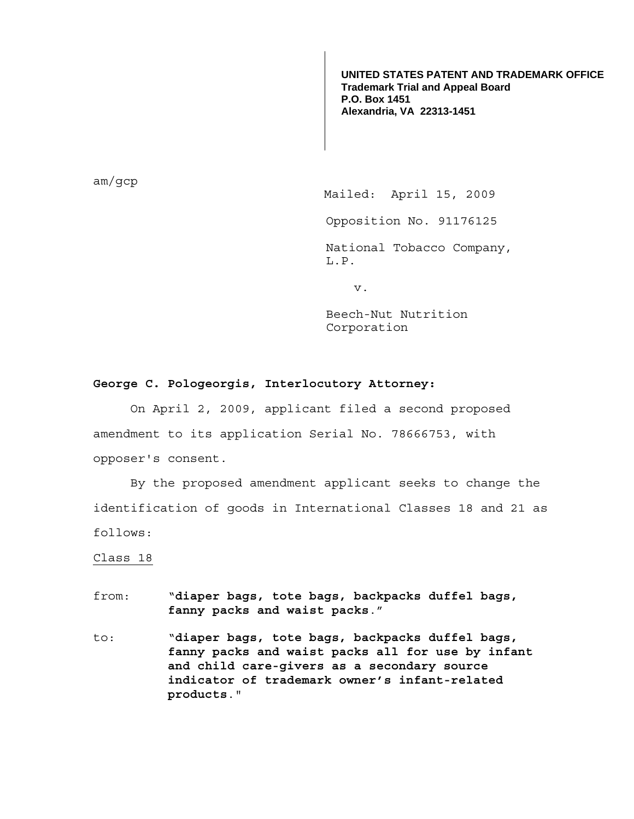**UNITED STATES PATENT AND TRADEMARK OFFICE Trademark Trial and Appeal Board P.O. Box 1451 Alexandria, VA 22313-1451**

am/gcp

Mailed: April 15, 2009

Opposition No. 91176125

National Tobacco Company, L.P.

v.

Beech-Nut Nutrition Corporation

## **George C. Pologeorgis, Interlocutory Attorney:**

 On April 2, 2009, applicant filed a second proposed amendment to its application Serial No. 78666753, with opposer's consent.

 By the proposed amendment applicant seeks to change the identification of goods in International Classes 18 and 21 as follows:

## Class 18

- from: "**diaper bags, tote bags, backpacks duffel bags, fanny packs and waist packs**."
- to: "**diaper bags, tote bags, backpacks duffel bags, fanny packs and waist packs all for use by infant and child care-givers as a secondary source indicator of trademark owner's infant-related products**."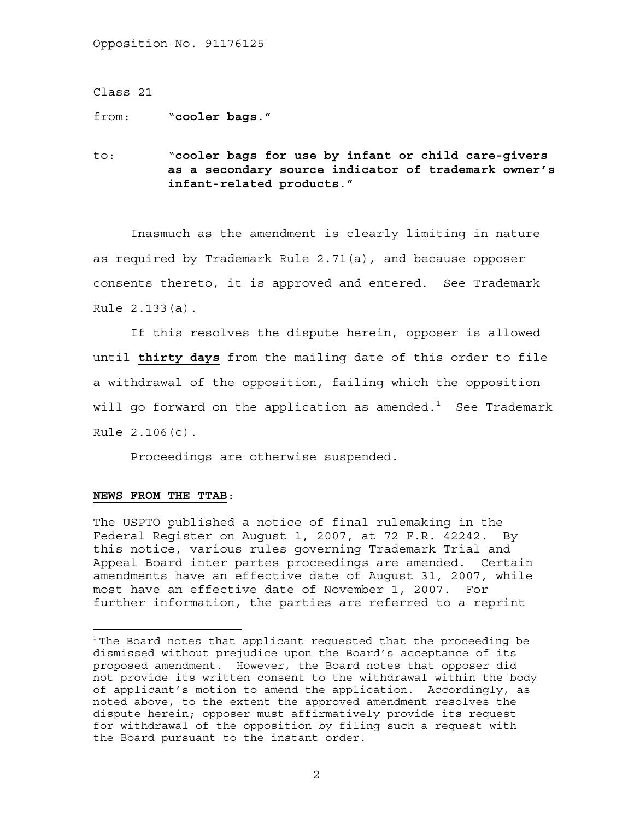## Class 21

from: "**cooler bags**."

to: "**cooler bags for use by infant or child care-givers as a secondary source indicator of trademark owner's infant-related products**."

 Inasmuch as the amendment is clearly limiting in nature as required by Trademark Rule 2.71(a), and because opposer consents thereto, it is approved and entered. See Trademark Rule 2.133(a).

 If this resolves the dispute herein, opposer is allowed until **thirty days** from the mailing date of this order to file a withdrawal of the opposition, failing which the opposition will go forward on the application as amended. $^1$  See Trademark Rule 2.106(c).

Proceedings are otherwise suspended.

## **NEWS FROM THE TTAB**:

 $\overline{a}$ 

The USPTO published a notice of final rulemaking in the Federal Register on August 1, 2007, at 72 F.R. 42242. By this notice, various rules governing Trademark Trial and Appeal Board inter partes proceedings are amended. Certain amendments have an effective date of August 31, 2007, while most have an effective date of November 1, 2007. For further information, the parties are referred to a reprint

 $1$  The Board notes that applicant requested that the proceeding be dismissed without prejudice upon the Board's acceptance of its proposed amendment. However, the Board notes that opposer did not provide its written consent to the withdrawal within the body of applicant's motion to amend the application. Accordingly, as noted above, to the extent the approved amendment resolves the dispute herein; opposer must affirmatively provide its request for withdrawal of the opposition by filing such a request with the Board pursuant to the instant order.